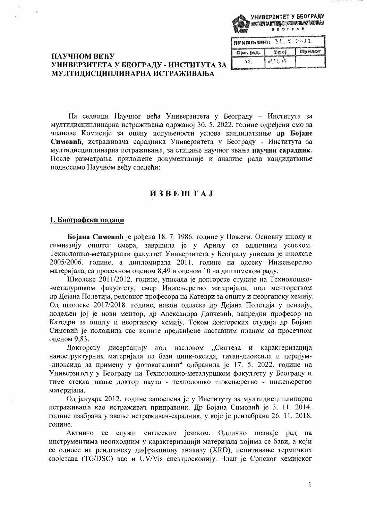|                                   | <b>GEOTPAA</b> | УНИВЕРЗИТЕТ У БЕОГРАДУ<br>7 MHCTHTYT 3A MYITHIJACUATIVHAPHA HCTPARMBAHA |
|-----------------------------------|----------------|-------------------------------------------------------------------------|
|                                   |                |                                                                         |
| $1$ <b>nPMMIDENO:</b> $34.5.2022$ |                |                                                                         |
|                                   | f‱an an B      | <b>LIMBURGE</b>                                                         |

# НАУЧНОМ ВЕЋУ УНИВЕРЗИТЕТА У БЕОГРАДУ - ИНСТИТУТА ЗА МУЛТИДИСЦИПЛИНАРНА ИСТРАЖИВАЊА

| Opr. Jeg. | Snol                          | Примог |
|-----------|-------------------------------|--------|
|           | $A \wedge A \subset I \wedge$ |        |

На седници Научног већа Универзитета у Београду - Института за мултидисциплинарна истраживања одржаној 30. 5. 2022. године одређени смо за чланове Комисије за оцену испуњености услова кандидаткиње др Бојане Симовић, истраживача сарадника Универзитета у Београду - Института за мултидисциплинарна истраживања, за стицање научног звања научни сарадник. После разматрања приложене документације и анализе рада кандидаткиње подносимо Научном већу следећи:

# **H3BEHTAJ**

## 1. Биографски подаци

Бојана Симовић је рођена 18. 7. 1986. године у Пожеги. Основну школу и гимназију општег смера, завршила је у Ариљу са одличним успехом. Технолошко-металуршки факултет Универзитета у Београду уписала је школске 2005/2006. године, а дипломирала 2011. године на одсеку Инжењерство материјала, са просечном оценом 8,49 и оценом 10 на дипломском раду.

Школске 2011/2012. године, уписала је докторске студије на Технолошко--металуршком факултету, смер Инжењерство материјала, под менторством др Дејана Полетија, редовног професора на Катедри за општу и неорганску хемију. Од школске 2017/2018. године, након одласка др Дејана Полетија у пензију, додељен јој је нови ментор, др Александра Дапчевић, ванредни професор на Катедри за општу и неорганску хемију. Током докторских студија др Бојана Симовић је положила све испите предвиђене наставним планом са просечном оценом 9.83.

Докторску дисертацију под насловом "Синтеза и карактеризација наноструктурних материјала на бази цинк-оксида, титан-диоксида и церијум--диоксида за примену у фотокатализи" одбранила је 17. 5. 2022. године на Универзитету у Београду на Технолошко-металуршком факултету у Београду и тиме стекла звање доктор наука - технолошко инжењерство - инжењерство материјала.

Од јануара 2012. године запослена је у Институту за мултидисциплинарна истраживања као истраживач приправник. Др Бојана Симовић је 3. 11. 2014. године изабрана у звање истраживач-сарадник, у које је реизабрана 26. 11. 2018. године.

Активно се служи енглеским језиком. Одлично познаје рад на инструментима неопходним у карактеризацији материјала којима се бави, а који се односе на рендгенску дифракциону анализу (XRD), испитивање термичких својстава (TG/DSC) као и UV/Vis спектроскопију. Члан је Српског хемијског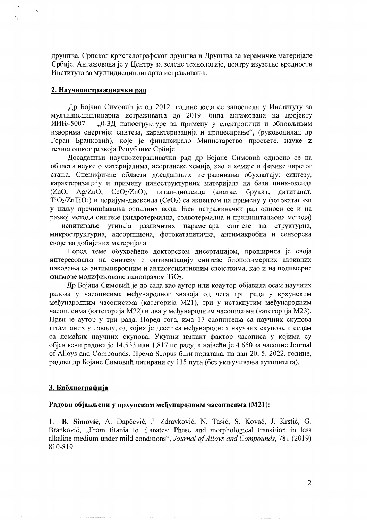друштва, Српског кристалографског друштва и Друштва за керамичке материјале Србије. Ангажована је у Центру за зелене технологије, центру изузетне вредности Института за мултидисциплинарна истраживања.

#### 2. Научноистраживачки рад

Др Бојана Симовић је од 2012. године када се запослила у Институту за мултидисциплинарна истраживања до 2019. била ангажована на пројекту ИИИ45007 - "0-3Д наноструктуре за примену у електроници и обновљивим изворима енергије: синтеза, карактеризација и процесирање", (руководилац др Горан Бранковић), које је финансирало Министарство просвете, науке и технолошког развоја Републике Србије.

Досадашњи научноистраживачки рад др Бојане Симовић односио се на области науке о материјалима, неорганске хемије, као и хемије и физике чврстог стања. Специфичне области досадашњих истраживања обухватају: синтезу, карактеризацију и примену наноструктурних материјала на бази цинк-оксида (ZnO, Ag/ZnO, CeO<sub>2</sub>/ZnO), титан-диоксида (анатас, брукит, дититанат,  $TiO<sub>2</sub>/ZnTiO<sub>3</sub>$ ) и церијум-диоксида (СеО<sub>2</sub>) са акцентом на примену у фотокатализи у циљу пречишћавања отпадних вода. Њен истраживачки рад односи се и на развој метода синтезе (хидротермална, солвотермална и преципитациона метода) испитивање утицаја различитих параметара синтезе на структурна, микроструктурна, адсорпциона, фотокаталитичка, антимикробна и сензорска својства добијених материјала.

Поред теме обухваћене докторском дисертацијом, проширила је своја интересовања на синтезу и оптимизацију синтезе биополимерних активних паковања са антимикробним и антиоксидативним својствима, као и на полимерне филмове модификоване нанопрахом TiO<sub>2</sub>.

Др Бојана Симовић је до сада као аутор или коаутор објавила осам научних радова у часописима међународног значаја од чега три рада у врхунским међународним часописима (категорија М21), три у истакнутим међународним часописима (категорија М22) и два у међународним часописима (категорија М23). Први је аутор у три рада. Поред тога, има 17 саопштења са научних скупова штампаних у изводу, од којих је десет са међународних научних скупова и седам са домаћих научних скупова. Укупни импакт фактор часописа у којима су објављени радови је 14,533 или 1,817 по раду, а највећи је 4,650 за часопис Journal of Alloys and Compounds. Према Scopus бази података, на дан 20. 5. 2022. године, радови др Бојане Симовић цитирани су 115 пута (без укључивања аутоцитата).

#### 3. Библиографија

#### Радови објављени у врхунским међународним часописима (М21):

1. B. Simović, A. Dapčević, J. Zdravković, N. Tasić, S. Kovač, J. Krstić, G. Branković, "From titania to titanates: Phase and morphological transition in less alkaline medium under mild conditions", Journal of Alloys and Compounds, 781 (2019) 810-819.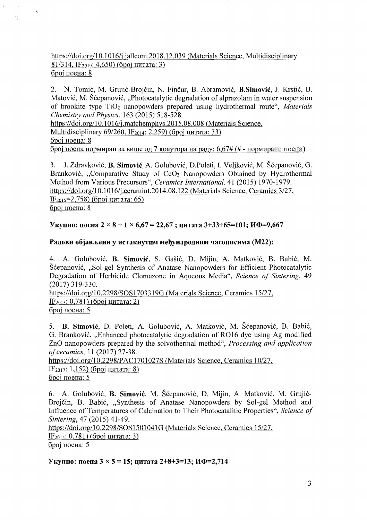# *https:lldoi.orgll* 0.1 016/j.jallcom.20 18.12.039 (Materials Science, Multidisciplinary 81/314, IF<sub>2019</sub>: 4,650) (број цитата: 3) број поена: 8

 $t_{\rm k}$ 

 $\mathcal{O}_{\mathcal{I}}$ 

2. N. Tomić, M. Grujić-Brojčin, N. Finčur, B. Abramović, B. Simović, J. Krstić, B. Matović, M. Šćepanović, "Photocatalytic degradation of alprazolam in water suspension of brookite type Ti02 nanopowders prepared using hydrothermal route", *Materials ChemistryandPhysics,* 163 (2015) 518-528.

https://doi.org/10.1016/j.matchemphys.2015.08.008 (Materials Science, Multidisciplinary *69/260*, IF<sub>2014</sub>: 2,259) (број цитата: 33) број поена: 8 број поена нормиран за више од 7 коаутора на раду: 6,67# (# - нормирани поени)

3. J. Zdravkovic, B. Simovic, A. Golubovic, D.Poleti, L Veljkovic, M. Scepanovic, G. Branković, "Comparative Study of CeO<sub>2</sub> Nanopowders Obtained by Hydrothermal Method from Various Precursors", *Ceramics International,* 41 (2015) 1970-1979. https://doi.org/10.1016/j.ceramint.2014.08.122 (Materials Science, Ceramics 3/27, IF<sub>2015</sub>=2,758) (број цитата: 65) број поена: 8

# Укупно: поена 2 × 8 + 1 × 6,67 = 22,67; цитата 3+33+65=101; ИФ=9,667

# Радови објављени у истакнутим међународним часописима (M22):

4. A. Golubovic, B. Simovic, S. Gasic, D. Mijin, A. Matkovic, B. Babic, M. Scepanovic, "Sol-gel Synthesis of Anatase Nanopowders for Efficient Photocatalytic Degradation of Herbicide Clomazone in Aqueous Media", *Science of Sintering, 49* (2017) 319-330.

https://doi.org/10.2298/SOS1703319G (Materials Science, Ceramics 15/27,  $IF<sub>2015</sub>: 0,781)$  (број цитата: 2) број поена: 5

5. B. Simović, D. Poleti, A. Golubović, A. Matković, M. Šćepanović, B. Babić, G. Branković, "Enhanced photocatalytic degradation of RO16 dye using Ag modified ZnO nanopowders prepared by the solvothermal method", *Processing and application ofceramics,* 11 (2017) 27-38.

*https:lldoi.orgIl0.2298/PACI701027S* (Materials Science, Ceramics *10127,*  IF<sub>2017</sub>: 1,152) (број цитата: 8) број поена: 5

6. A. Golubović, **B. Simović**, M. Sćepanović, D. Mijin, A. Matković, M. Grujić-Brojčin, B. Babić, "Synthesis of Anatase Nanopowders by Sol-gel Method and Influence of Temperatures of Calcination to Their Photocatalitic Properties", *Science of Sintering,* 47 (2015) 41-49.

*https:lldoi.orgIl0.2298/S0S1501041G* (Materials Science, Ceramics *15/27,*  IF<sub>2015</sub>: 0,781) (број цитата: 3) број поена: 5

# Укупно: поена  $3 \times 5 = 15$ ; цитата 2+8+3=13; ИФ=2,714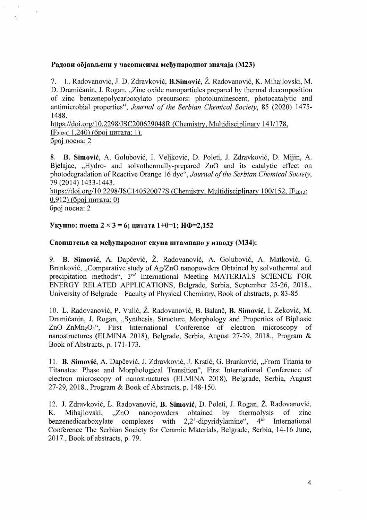## Радови објављени у часописима међународног значаја (М23)

7. L. Radovanovic, J. D. Zdravkovic, **B.Simovic,** Z. Radovanovic, K. Mihajlovski, M. D. Dramićanin, J. Rogan, ...Zinc oxide nanoparticles prepared by thermal decomposition of zinc benzenepolycarboxylato precursors: photoluminescent, photocatalytic and antimicrobial properties", *Journal of the Serbian Chemical Society,* 85 (2020) 1475 1488.

*https:lldoLorgll0.2298IJSC200629048R* (Chemistry, Multidisciplinary 1411178, IF202o: 1,240) (6poj UHTaTa: 1). број поена: 2

8. **B. Simovic,** A. Golubovic, I. Veljkovic, D. Poleti, J. Zdravkovic, D. Mijin, A. Bjelajac, "Hydro- and solvothermally-prepared ZnO and its catalytic effect on photodegradation of Reactive Orange 16 dye", *Journal ofthe Serbian Chemical Society,* 79 (2014) 1433-1443.

*https:lldoi.org/l* 0.2298/JSC 140520077S (Chemistry, Multidisciplinary *100/152,* IF2ol2: 0,912) (број цитата: 0)

број поена: 2

.',

# $Y_{\text{KYHHO}}$ : поена  $2 \times 3 = 6$ ; цитата 1+0=1;  $M\Phi = 2,152$

## **CaonWTelba ca MeI)YHap0JJ:Hor cKyna WTaMnaHO y H3BOJJ:Y (M34):**

9. B. **Simovic,** A. Dapcevic, Z. Radovanovic, A. Golubovic, A. Matkovic, G. Branković, "Comparative study of Ag/ZnO nanopowders Obtained by solvothermal and precipitation methods", 3rd International Meeting MATERIALS SCIENCE FOR ENERGY RELATED APPLICATIONS, Belgrade, Serbia, September 25-26, 2018., University of Belgrade – Faculty of Physical Chemistry, Book of abstracts, p. 83-85.

10. L. Radovanovic, P. Vulic, Z. Radovanovic, B. Balanc, **B. Simovic,** I. Zekovic, M. Dramićanin, J. Rogan, "Synthesis, Structure, Morphology and Properties of Biphasic ZnO-ZnMn204", First International Conference of electron microscopy of nanostructures (ELMINA 2018), Belgrade, Serbia, August 27-29, 2018., Program & Book of Abstracts, p. 171-173.

11. **B. Simović**, A. Dapčević, J. Zdravković, J. Krstić, G. Branković, "From Titania to Titanates: Phase and Morphological Transition", First International Conference of electron microscopy of nanostructures (ELMINA 2018), Belgrade, Serbia, August 27-29,2018., Program & Book of Abstracts, p. 148-150.

12. J. Zdravković, L. Radovanović, **B. Simović**, D. Poleti, J. Rogan, Ž. Radovanović, K. Mihailovski, ...ZnO nanopowders obtained by thermolysis of zinc K. Mihajlovski, "ZnO nanopowders obtained by thermolysis of zinc<br>benzenedicarboxylate complexes with 2.2'-dipyridylamine",  $4<sup>th</sup>$  International complexes with 2,2'-dipyridylamine", Conference The Serbian Society for Ceramic Materials, Belgrade, Serbia, 14-16 June, 2017., Book of abstracts, p. 79.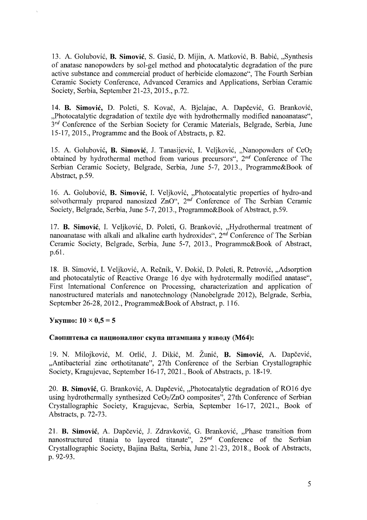13. A. Golubovic, **B. Simovic,** S. Gasic, D. Mijin, A. Matkovic, B. Babic, "Synthesis of anatase nanopowders by sol-gel method and photocatalytic degradation of the pure active substance and commercial product of herbicide clomazone", The Fourth Serbian Ceramic Society Conference, Advanced Ceramics and Applications, Serbian Ceramic Society, Serbia, September 21-23, 2015., p.72.

14. **B. Simovic,** D. Poleti, S. Kovac, A. Bjelajac, A. Dapcevic, G. Brankovic, "Photocatalytic degradation of textile dye with hydrothermally modified nanoanatase",  $3^{rd}$  Conference of the Serbian Society for Ceramic Materials, Belgrade, Serbia, June 15-17, 2015., Programme and the Book of Abstracts, p. 82.

15. A. Golubovic, **B. Simovic,** 1. Tanasijevic, I. Veljkovic, "Nanopowders of Ce02 obtained by hydrothermal method from various precursors", *2nd* Conference of The Serbian Ceramic Society, Belgrade, Serbia, June 5-7, 2013., Programme&Book of Abstraet, p.59.

16. A. Golubovic, **B. Simovic,** I. Veljkovic, "Photocatalytic properties of hydro-and  $2nO''$ ,  $2nd$  Conference of The Serbian Ceramic Society, Belgrade, Serbia, June 5-7, 2013., Programme&Book of Abstract, p.59.

17. **B. Simovic,** I. Veljkovic, D. Poleti, G. Brankovic, "Hydrothermal treatment of nanoanatase with alkali and alkaline earth hydroxides", *2nd* Conference of The Serbian Ceramic Society, Belgrade, Serbia, June 5-7, 2013., Programme&Book of Abstract, p.61.

18. B. Simović, I. Veljković, A. Rečnik, V. Đokić, D. Poleti, R. Petrović, "Adsorption and photocatalytic of Reactive Orange 16 dye with hydrotermally modified anatase", First International Conference on Processing, characterization and application of nanostructured materials and nanotechnology (Nanobelgrade 2012), Belgrade, Serbia, September 26-28, 2012., Programme&Book of Abstract, p. 116.

# **Y**<sub>K</sub>VIIHO:  $10 \times 0.5 = 5$

# Саопштења са националног скупа штампана у изводу (М64):

19. N. Milojkovic, M. Orlic, 1. Dikic, M. Zunic, **B. Simovic,** A. Dapcevic, "Antibacterial zinc orthotitanate", 27th Conference of the Serbian Crystallographic Society, Kragujevac, September 16-17,2021., Book of Abstracts, p. 18-19.

20. **B. Simović**, G. Branković, A. Dapčević, "Photocatalytic degradation of RO16 dye using hydrothermally synthesized *Ce02/ZnO* composites", 27th Conference of Serbian Crystallographic Society, Kragujevac, Serbia, September 16-17, 2021., Book of Abstracts, p. 72-73.

21. **B. Simović**, A. Dapčević, J. Zdravković, G. Branković, "Phase transition from nanostructured titania to layered titanate", 25<sup>nd</sup> Conference of the Serbian Crystallographic Society, Bajina Basta, Serbia, June 21-23, 2018., Book of Abstracts, p.92-93.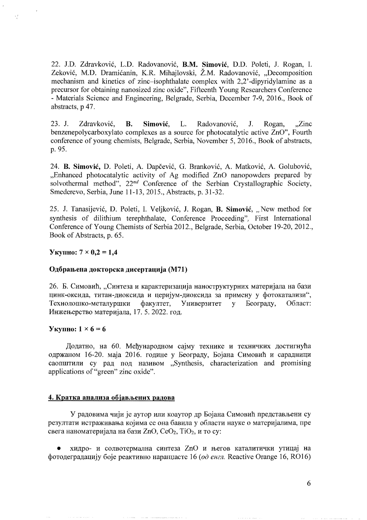22. J.D. Zdravkovi6, L.D. Radovanovi6, **B.M. Simovic,** D.D. Poleti, J. Rogan, L Zeković, M.D. Dramićanin, K.R. Mihajlovski, Ž.M. Radovanović, "Decomposition mechanism and kinetics of zinc-isophthalate complex with 2,2' -dipyridylamine as a precursor for obtaining nanosized zinc oxide", Fifteenth Young Researchers Conference - Materials Science and Engineering, Belgrade, Serbia, December 7-9, 2016., Book of abstracts, p 47.

23. J. Zdravkovi6, **B. Simovic,** L. Radovanovi6, J. Rogan, "Zinc benzenepolycarboxylato complexes as a source for photocatalytic active ZnO", Fourth conference of young chemists, Belgrade, Serbia, November 5, 2016., Book of abstracts, p.95.

24. **B. Simović**, D. Poleti, A. Dapčević, G. Branković, A. Matković, A. Golubović, ...Enhanced photocatalytic activity of Ag modified ZnO nanopowders prepared by solvothermal method", 22<sup>nd</sup> Conference of the Serbian Crystallographic Society, Smederevo, Serbia, June 11-13,2015., Abstracts, p. 31-32.

25. J. Tanasijevi6, D. Poleti, 1. Veljkovi6, J. Rogan, **B. Simovic,** "New method for synthesis of dilithium terephthalate, Conference Proceeding", First International Conference of Young Chemists of Serbia 2012., Belgrade, Serbia, October 19-20, 2012., Book of Abstracts, p. 65.

#### $Y_{KVIII10}$ :  $7 \times 0.2 = 1.4$

#### Одбрањена докторска дисертација (М71)

26. Б. Симовић, "Синтеза и карактеризација наноструктурних материјала на бази цинк-оксида, титан-диоксида и церијум-диоксида за примену у фотокатализи", Технолошко-металуршки факултет, Универзитет у Београду, Област: Инжењерство материјала, 17. 5. 2022. год.

#### **Y**kynHo:  $1 \times 6 = 6$

Додатно, на 60. Међународном сајму технике и техничких достигнућа одржаном 16-20. маја 2016. године у Београду, Бојана Симовић и сарадници caonIITHTH cy pan non Ha3HBOM "Synthesis, characterization and promising applications of "green" zinc oxide".

#### **4. KpaTKa aHaJIHla o6jaBJbeHHX pa):(OBa**

У радовима чији је аутор или коаутор др Бојана Симовић представљени су резултати истраживања којима се она бавила у области науке о материјалима, пре свега наноматеријала на бази ZnO,  $CeO<sub>2</sub>$ , TiO<sub>2</sub>, и то су:

хидро- и солвотермална синтеза ZnO и његов каталитички утицај на фотодеградацију боје реактивно наранџасте 16 (од енгл. Reactive Orange 16, RO16)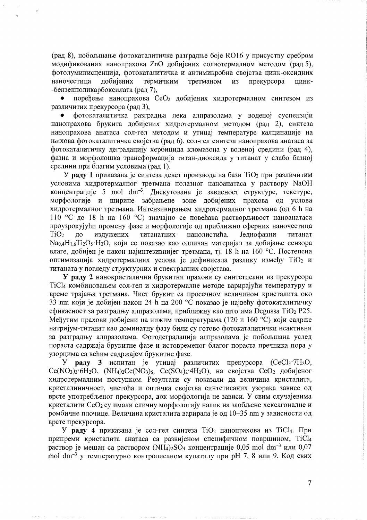(рад 8), побољшање фотокаталитичке разградње боје RO16 у присуству сребром модификованих нанопрахова ZnO добијених солвотермалном методом (рад 5), фотолуминисценција, фотокаталитичка и антимикробна својства цинк-оксидних добијених термичким третманом наночестица **H3** прекурсора иинк--бензенполикарбоксилата (рад 7).

поређење нанопрахова СеО<sub>2</sub> добијених хидротермалном синтезом из различитих прекурсора (рад 3),

фотокаталитичка разградња лека алпразолама у воденој суспензији нанопрахова брукита добијених хидротермалном методом (рад 2), синтеза нанопрахова анатаса сол-гел методом и утицај температуре калцинације на њихова фотокаталитичка својства (рад 6), сол-гел синтеза нанопрахова анатаса за фотокаталитичку деградацију хербицида кломазона у воденој средини (рад 4), фазна и морфолошка трансформација титан-диоксида у титанат у слабо базној средини при благим условима (рад 1).

У раду 1 приказана је синтеза девет производа на бази  $TiO<sub>2</sub>$  при различитим условима хидротермалног третмана полазног наноанатаса у раствору NaOH концентрације 5 mol  $dm^{-3}$ . Дискутована је зависност структуре, текстуре, морфологије и ширине забрањене зоне добијених прахова од услова хидротермалног третмана. Интензивирањем хидротермалног третмана (од 6 h на 110 °С до 18 h на 160 °С) значајно се повећава растворљивост наноанатаса проузрокујући промену фазе и морфологије од приближно сферних наночестица издужених титанатних нанолистића. Једнофазни  $TiO<sub>2</sub>$  $\overline{a}$ титанат  $Na<sub>0.4</sub>H<sub>1.6</sub>Ti<sub>2</sub>O<sub>5</sub>·H<sub>2</sub>O$ , који се показао као одличан материјал за добијање сензора влаге, добијен је након најинтезивнијег третмана, тј. 18 h на 160 °С. Постепена оптимизација хидротермалних услова је дефинисала разлику између ТіО<sub>2</sub> и титаната у погледу структурних и спектралних својстава.

У раду 2 нанокристалични брукитни прахови су синтетисани из прекурсора TiCl4 комбиновањем сол-гел и хидротермалне методе варирајући температуру и време трајања третмана. Чист брукит са просечном величином кристалита око 33 nm који је добијен након 24 h на 200 °С показао је највећу фотокаталитичку ефикасност за разградњу алпразолама, приближну као што има Degussa TiO<sub>2</sub> P25. Међутим прахови добијени на нижим температурама (120 и 160 °С) који садрже натријум-титанат као доминатну фазу били су готово фотокаталитички неактивни за разградњу алпразолама. Фотодеградација алпразолама је побољшана услед пораста садржаја брукитне фазе и истовременог благог пораста пречника пора у узорцима са већим садржајем брукитне фазе.

раду 3 испитан је утицај различитих прекурсора (CeCl3·7H<sub>2</sub>O, У  $Ce(NO<sub>3</sub>)<sub>3</sub>$  6H<sub>2</sub>O,  $(NH<sub>4</sub>)<sub>2</sub>Ce(NO<sub>3</sub>)<sub>6</sub>$ ,  $Ce(SO<sub>4</sub>)<sub>2</sub>$  4H<sub>2</sub>O), на својства  $CeO<sub>2</sub>$  добијеног хидротермалним поступком. Резултати су показали да величина кристалита, кристалиничност, чистоћа и оптичка својства синтетисаних узорака зависе од врсте употребљеног прекурсора, док морфологија не зависи. У свим случајевима кристалити СеО2 су имали сличну морфологију налик на заобљене хексагоналне и ромбичне плочице. Величина кристалита варирала је од 10-35 nm у зависности од врсте прекурсора.

У раду 4 приказана је сол-гел синтеза ТіО<sub>2</sub> нанопрахова из ТіСl4. При припреми кристалита анатаса са развијеном специфичном површином, ТіС14 раствор је мешан са раствором (NH<sub>4</sub>)<sub>2</sub>SO<sub>4</sub> концентрације 0,05 mol dm<sup>-3</sup> или 0,07 mol  $dm^{-3}$  у температурно контролисаном купатилу при рН 7, 8 или 9. Код свих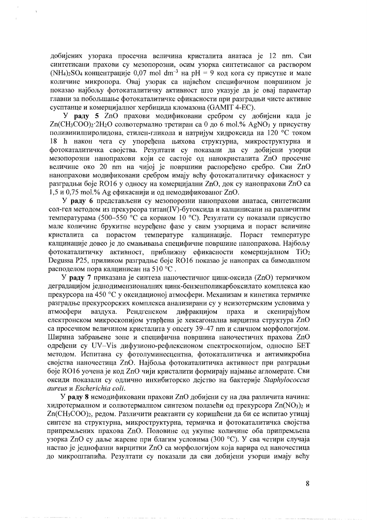добијених узорака просечна величина кристалита анатаса је 12 nm. Сви синтетисани прахови су мезопорозни, осим узорка синтетисаног са раствором (NH<sub>4</sub>)<sub>2</sub>SO<sub>4</sub> концентрације 0,07 mol dm<sup>-3</sup> на pH = 9 код кога су присутне и мале количине микропора. Овај узорак са највећом специфичном површином је показао најбољу фотокаталитичку активност што указује да је овај параметар главни за побольшање фотокаталитичке ефикасности при разградњи чисте активне сусптанце и комерцијалног хербицида кломазона (GAMIT 4-EC).

У раду 5 ZnO прахови модификовани сребром су добијени када је  $Zn(CH_3COO)_2$  2H<sub>2</sub>O солвотермално третиран са 0 до 6 mol.% AgNO<sub>3</sub> у присуству поливинилпиролидона, етилен-гликола и натријум хидроксида на 120 °С током 18 h након чега су упоређена њихова структурна, микроструктурна и фотокаталитичка својства. Резултати су показали да су добијени узорци мезопорозни нанопрахови који се састоје од нанокристалита ZnO просечне величине око 20 nm на чијој је површини распоређено сребро. Сви ZnO нанопрахови модификовани сребром имају већу фотокаталитичку ефикасност у разградњи боје RO16 у односу на комерцијални ZnO, док су нанопрахови ZnO са 1,5 и 0,75 mol.% Аg ефикаснији и од немодификованог ZnO.

У раду 6 представљени су мезопорозни нанопрахови анатаса, синтетисани сол-гел методом из прекурсора титан(IV)-бутоксида и калцинисани на различитим температурама (500-550 °С са кораком 10 °С). Резултати су показали присуство мале количине брукитне неуређене фазе у свим узорцима и пораст величине кристалита са порастом температуре калцинације. Пораст температуре калцинације довео је до смањивања специфичне површине нанопрахова. Најбољу фотокаталитичку активност, приближну ефикасности комерцијалном Ті $O_2$ Degussa P25, приликом разградње боје RO16 показао је нанопрах са бимодалном расподелом пора калцинисан на 510 °С.

У раду 7 приказана је синтеза наночестичног цинк-оксида (ZnO) термичком деградацијом једнодимензионалних цинк-бензенполикарбоксилато комплекса као прекурсора на 450 °С у оксидационој атмосфери. Механизам и кинетика термичке разградње прекурсорских комплекса анализирани су у неизотермским условима у атмосфери ваздуха. Рендгенском дифракцијом праха  $\boldsymbol{M}$ скенирајућом електронском микроскопијом утврђена је хексагонална вирцитна структура ZnO са просечном величином кристалита у опсегу 39-47 nm и сличном морфологијом. Ширина забрањене зоне и специфична површина наночестичнх прахова ZnO одређени су UV-Vis дифузионо-рефлексионом спектроскопијом, односно БЕТ методом. Испитана су фотолуминесцентна, фотокаталитичка и антимикробна својства наночестица ZnO. Најбоља фотокаталитичка активност при разградњи боје RO16 уочена је код ZnO чији кристалити формирају најмање агломерате. Сви оксиди показали су одлично инхибиторско дејство на бактерије Staphylococcus aureus u Escherichia coli.

У раду 8 немодификовани прахови ZnO добијени су на два различита начина: хидротермалном и солвотермалном синтезом полазећи од прекурсора Zn(NO<sub>3</sub>)<sub>2</sub> и Zn(CH<sub>3</sub>COO)<sub>2</sub>, редом. Различити реактанти су коришћени да би се испитао утицај синтезе на структурна, микроструктурна, термичка и фотокаталитичка својства припремљених прахова ZnO. Половине од укупне количине оба припремљена узорка ZnO су даље жарене при благим условима (300 °С). У сва четири случаја настао је једнофазни вирцитни ZnO са морфологијом која варира од наночестица до микроштапића. Резултати су показали да сви добијени узорци имају већу

8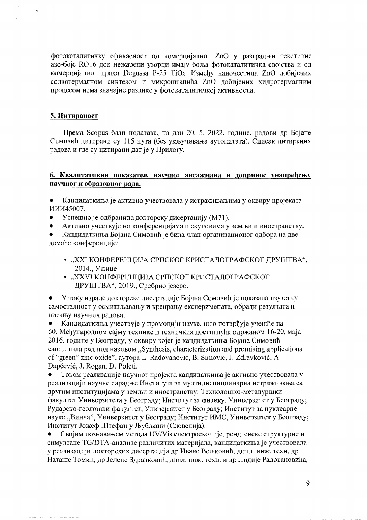фотокаталитичку ефикасност од комерцијалног ZnO у разградњи текстилне азо-боје RO16 док нежарени узорци имају боља фотокаталитичка својства и од комерцијалног праха Degussa P-25 TiO<sub>2</sub>. Између наночестица ZnO добијених солвотермалном синтезом и микроштанића ZnO добијених хидротермалним процесом нема значајне разлике у фотокаталитичкој активности.

#### 5. Цитираност

Према Scopus бази података, на дан 20. 5. 2022. године, радови др Бојане Симовић цитирани су 115 пута (без укључивања аутоцитата). Списак цитираних радова и где су цитирани дат је у Прилогу.

## 6. Квалитативни показатељ научног ангажмана и допринос унапређењу научног и образовног рада.

Кандидаткиња је активно учествовала у истраживањима у оквиру пројеката  $\bullet$ ИИИ45007.

- Успешно је одбранила докторску дисертацију (М71).
- Активно учествује на конференцијама и скуповима у земљи и иностранству.
- Кандидаткиња Бојана Симовић је била члан организационог одбора на две домаће конференције:
	- "ХХІ КОНФЕРЕНЦИЈА СРПСКОГ КРИСТАЛОГРАФСКОГ ДРУШТВА", 2014., Ужице.
	- "ХХVІ КОНФЕРЕНЦИЈА СРПСКОГ КРИСТАЛОГРАФСКОГ ДРУШТВА", 2019., Сребрно језеро.

У току израде докторске дисертације Бојана Симовић је показала изузетну самосталност у осмишљавању и креирању експеримената, обради резултата и писању научних радова.

Кандидаткиња учествује у промоцији науке, што потврђује учешће на  $\bullet$ 60. Међународном сајму технике и техничких достигнућа одржаном 16-20. маја 2016. године у Београду, у оквиру којег је кандидаткиња Бојана Симовић саопштила рад под називом "Synthesis, characterization and promising applications of "green" zinc oxide", ayropa L. Radovanović, B. Simović, J. Zdravković, A. Dapčević, J. Rogan, D. Poleti.

Током реализације научног пројекта кандидаткиња је активно учествовала у реализацији научне сарадње Института за мултидисциплинарна истраживања са другим институцијама у земљи и иностранству: Технолошко-металуршки факултет Универзитета у Београду; Институт за физику, Универзитет у Београду; Рударско-геолошки факултет, Универзитет у Београду; Институт за нуклеарне науке "Винча", Универзитет у Београду; Институт ИМС, Универзитет у Београду; Институт Јожеф Штефан у Љубљани (Словенија).

Својим познавањем метода UV/Vis спектроскопије, рендгенске структурне и симултане TG/DTA-анализе различитих материјала, кандидаткиња је учествовала у реализацији докторских дисертација др Иване Вељковић, дипл. инж. техн, др Наташе Томић, др Јелене Здравковић, дипл. инж. техн. и др Лидије Радовановића,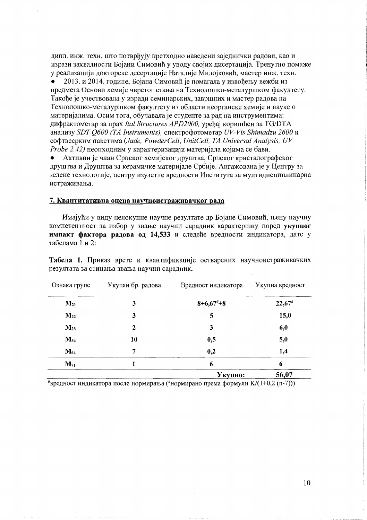дипл. инж. техн, што потврђују претходно наведени заједнички радови, као и изрази захвалности Бојани Симовић у уводу својих дисертација. Тренутно помаже у реализацији докторске десертације Наталије Милојковић, мастер инж. техн.

2013. и 2014. године. Бојана Симовић је помагала у извођењу вежби из предмета Основи хемије чврстог стања на Технолошко-металуршком факултету. Такође је учествовала у изради семинарских, завршних и мастер радова на Технолошко-металуршком факултету из области неорганске хемије и науке о материјалима. Осим тога, обучавала је студенте за рад на инструментима: дифрактометар за прах Ital Structures APD2000, урећај коришћен за ТG/DTA анализу SDT Q600 (TA Instruments), спектрофотометар UV-Vis Shimadzu 2600 и софтвесрким пакетима (Jade, PowderCell, UnitCell, TA Universal Analysis, UV Probe 2.42) неопходним у карактеризацији материјала којима се бави.

Активни је члан Српског хемијског друштва, Српског кристалографског друштва и Друштва за керамичке материјале Србије. Ангажована је у Центру за зелене технологије, центру изузетне вредности Института за мултидисциплинарна истраживања.

#### 7. Квантитативна оцена научноистраживачког рада

Имајући у виду целокупне научне резултате др Бојане Симовић, њену научну компетентност за избор у звање научни сарадник карактеришу поред укупног импакт фактора радова од 14,533 и следеће вредности индикатора, дате у табелама 1 и 2:

Табела 1. Приказ врсте и квантификације остварених научноистраживачких резултата за стицања звања научни сарадник.

| Ознака групе | Укупан бр. радова | Вредност индикатора | Укупна вредност      |
|--------------|-------------------|---------------------|----------------------|
| $M_{21}$     | 3                 | $8+6,67+8$          | $22,67$ <sup>#</sup> |
| $M_{22}$     | 3                 | 5                   | 15,0                 |
| $M_{23}$     | $\boldsymbol{2}$  | 3                   | 6,0                  |
| $M_{34}$     | 10                | 0,5                 | 5,0                  |
| $M_{64}$     | 7                 | 0,2                 | 1,4                  |
| $M_{71}$     |                   | 6                   | 6                    |
|              |                   | Укупно:             | 56.07                |

"вредност индикатора после нормирања ("нормирано према формули K/(1+0,2 (n-7)))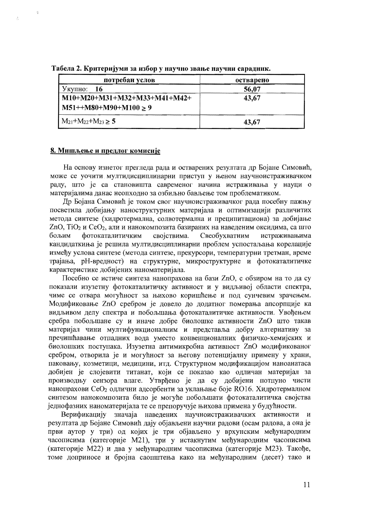| потребан услов                | остварено |  |
|-------------------------------|-----------|--|
| Укупно:<br>-16                | 56,07     |  |
| M10+M20+M31+M32+M33+M41+M42+  | 43,67     |  |
| $M51++M80+M90+M100 \ge 9$     |           |  |
| $M_{21}+M_{22}+M_{23} \geq 5$ | 43,67     |  |

Табела 2. Критеријуми за избор у научно звање научни сарадник.

## 8. Мишљење и предлог комисије

ģ

 $\hat{\mathcal{J}}$ 

На основу изнетог прегледа рада и остварених резултата др Бојане Симовић, може се уочити мултидисциплинарни приступ у њеном научноистраживачком раду, што је са становишта савременог начина истраживања у науци о материјалима данас неопходно за озбиљно бављење том проблематиком.

Др Бојана Симовић је током свог научноистраживачког рада посебну пажњу посветила добијању наноструктурних материјала и оптимизацији различитих метода синтезе (хидротермална, солвотермална и преципитациона) за добијање ZnO, TiO<sub>2</sub> и CeO<sub>2</sub>, али и нанокомпозита базираних на наведеним оксидима, са што бољим фотокаталитичким својствима. Свеобухватним истраживањима кандидаткиња је решила мултидисциплинарни проблем успостаљања корелације између услова синтезе (метода синтезе, прекурсори, температурни третман, време трајања, рН-вредност) на структурне, микроструктурне и фотокаталитичке карактеристике добијених наноматеријала.

Посебно се истиче синтеза нанопрахова на бази ZnO, с обзиром на то да су показали изузетну фотокаталитичку активност и у видљивој области спектра, чиме се отвара могућност за њихово коришћење и под сунчевим зрачењем. Модификовање ZnO сребром је довело до додатног померања апсорпције ка видљивом делу спектра и побољшања фотокаталитичке активности. Увођењем сребра побољшане су и иначе добре биолошке активности ZnO што такав материјал чини мултифункционалним и представља добру алтернативу за пречишћавање отпадних вода уместо конвенционалних физичко-хемијских и биолошких поступака. Изузетна антимикробна активност ZnO модификованог сребром, отворила је и могућност за његову потенцијалну примену у храни, паковању, козметици, медицини, итд. Структурном модификацијом наноанатаса добијен је слојевити титанат, који се показао као одличан материјал за производњу сензора влаге. Утврђено је да су добијени потпуно чисти нанопрахови СеО<sub>2</sub> одлични адсорбенти за уклањање боје RO16. Хидротермалном синтезом нанокомпозита било је могуће побољшати фотокаталитичка својства једнофазних наноматеријала те се препоручује њихова примена у будућности.

Верификацију значаја наведених научноистраживачких активности  $\mathbf{M}$ резултата др Бојане Симовић дају објављени научни радови (осам радова, а она је први аутор у три) од којих је три објављено у врхунским међународним часописима (категорије М21), три у истакнутим међународним часописима (категорије М22) и два у међународним часописима (категорије М23). Такође, томе доприносе и бројна саопштења како на међународним (десет) тако и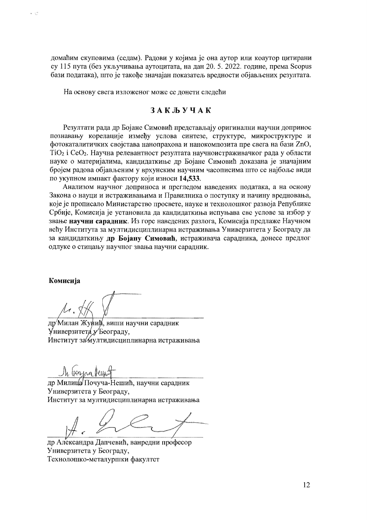домаћим скуповима (седам). Радови у којима је она аутор или коаутор цитирани су 115 пута (без укључивања аутоцитата, на дан 20. 5. 2022. године, према Scopus бази података), што је такође значајан показатељ вредности објављених резултата.

На основу свега изложеног може се донети следећи

# ЗАКЉУЧАК

Резултати рада др Бојане Симовић представљају оригинални научни допринос познавању корелације између услова синтезе, структуре, микроструктуре и фотокаталитичких својстава нанопрахова и нанокомпозита пре свега на бази ZnO,  $TiO<sub>2</sub>$  і Се $O<sub>2</sub>$ . Научна релевантност резултата научноистраживачког рада у области науке о материјалима, кандидаткиње др Бојане Симовић доказана је значајним бројем радова објављеним у врхунским научним часописима што се најбоље види по укупном импакт фактору који износи 14,533.

Анализом научног доприноса и прегледом наведених података, а на основу Закона о науци и истраживањима и Правилника о поступку и начину вредновања, које је прописало Министарство просвете, науке и технолошког развоја Републике Србије, Комисија је установила да кандидаткиња испуњава све услове за избор у звање научни сарадник. Из горе наведених разлога, Комисија предлаже Научном већу Института за мултидисциплинарна истраживања Универзитета у Београду да за кандидаткињу др Бојану Симовић, истраживача сарадника, донесе предлог одлуке о стицању научног звања научни сарадник.

#### Комисија

 $\epsilon$   $\epsilon$ <sup>2</sup>

др/Милан Жуний, виши научни сарадник Универзитета у Београду, Институт за мултидисциплинарна истраживања

In transa terr

др Милица Почуча-Нешић, научни сарадник Универзитета у Београду, Институт за мултидисциплинарна истраживања

др Александра Дапчевић, ванредни професор Универзитета у Београду, Технолошко-металуршки факултет